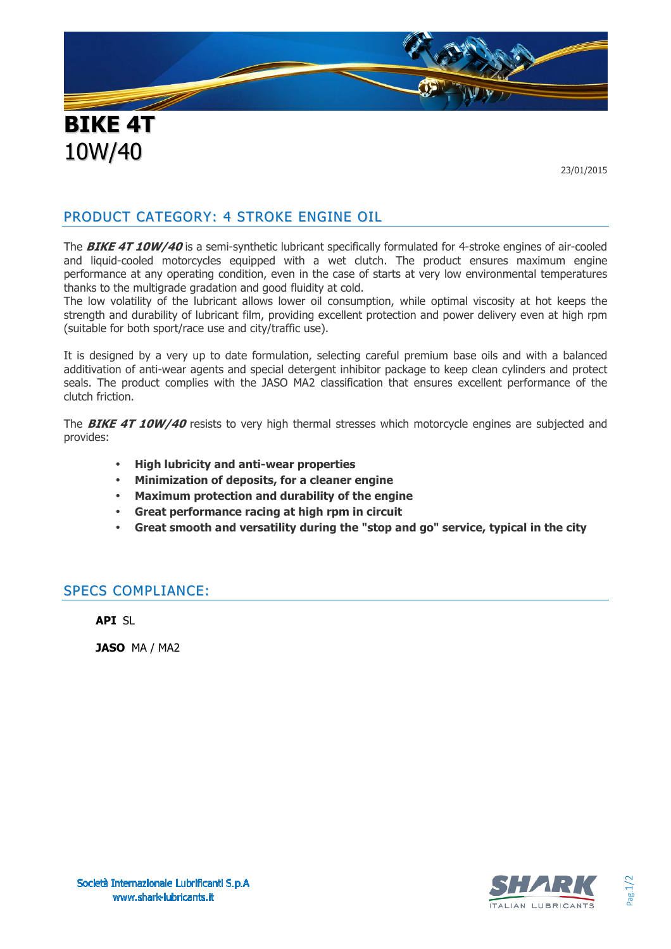

## **BIKE 4T** 10W/40

23/01/2015

### PRODUCT CATEGORY: 4 STROKE ENGINE OIL

The **BIKE 4T 10W/40** is a semi-synthetic lubricant specifically formulated for 4-stroke engines of air-cooled and liquid-cooled motorcycles equipped with a wet clutch. The product ensures maximum engine performance at any operating condition, even in the case of starts at very low environmental temperatures thanks to the multigrade gradation and good fluidity at cold.

The low volatility of the lubricant allows lower oil consumption, while optimal viscosity at hot keeps the strength and durability of lubricant film, providing excellent protection and power delivery even at high rpm (suitable for both sport/race use and city/traffic use).

It is designed by a very up to date formulation, selecting careful premium base oils and with a balanced additivation of anti-wear agents and special detergent inhibitor package to keep clean cylinders and protect seals. The product complies with the JASO MA2 classification that ensures excellent performance of the clutch friction.

The **BIKE 4T 10W/40** resists to very high thermal stresses which motorcycle engines are subjected and provides:

- **High lubricity and anti-wear properties**
- **Minimization of deposits, for a cleaner engine**
- **Maximum protection and durability of the engine**
- **Great performance racing at high rpm in circuit**
- **Great smooth and versatility during the "stop and go" service, typical in the city**

#### SPECS COMPLIANCE:

**API** SL

**JASO** MA / MA2